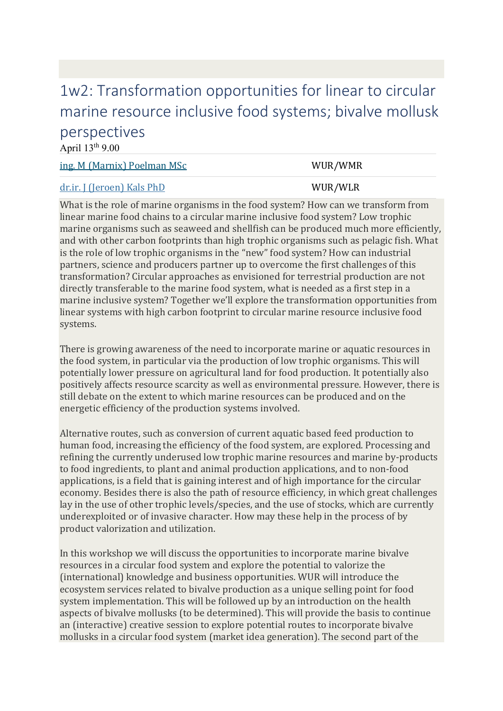## [1w2: Transformation opportunities for linear to circular](https://www.wur.nl/en/article/Biosphere-Workshops.htm)  [marine resource inclusive food systems; bivalve mollusk](https://www.wur.nl/en/article/Biosphere-Workshops.htm)  [perspectives](https://www.wur.nl/en/article/Biosphere-Workshops.htm)

April  $13<sup>th</sup>$  9.00

| <u>ing. M (Marnix) Poelman MSc</u>                                                 | WUR/WMR |
|------------------------------------------------------------------------------------|---------|
| <u>dr.ir. J (Jeroen) Kals PhD</u>                                                  | WUR/WLR |
| Ulbot is the role of marine examigue in the feed gystem? How see we transform from |         |

What is the role of marine organisms in the food system? How can we transform from linear marine food chains to a circular marine inclusive food system? Low trophic marine organisms such as seaweed and shellfish can be produced much more efficiently, and with other carbon footprints than high trophic organisms such as pelagic fish. What is the role of low trophic organisms in the "new" food system? How can industrial partners, science and producers partner up to overcome the first challenges of this transformation? Circular approaches as envisioned for terrestrial production are not directly transferable to the marine food system, what is needed as a first step in a marine inclusive system? Together we'll explore the transformation opportunities from linear systems with high carbon footprint to circular marine resource inclusive food systems.

There is growing awareness of the need to incorporate marine or aquatic resources in the food system, in particular via the production of low trophic organisms. This will potentially lower pressure on agricultural land for food production. It potentially also positively affects resource scarcity as well as environmental pressure. However, there is still debate on the extent to which marine resources can be produced and on the energetic efficiency of the production systems involved.

Alternative routes, such as conversion of current aquatic based feed production to human food, increasing the efficiency of the food system, are explored. Processing and refining the currently underused low trophic marine resources and marine by-products to food ingredients, to plant and animal production applications, and to non-food applications, is a field that is gaining interest and of high importance for the circular economy. Besides there is also the path of resource efficiency, in which great challenges lay in the use of other trophic levels/species, and the use of stocks, which are currently underexploited or of invasive character. How may these help in the process of by product valorization and utilization.

In this workshop we will discuss the opportunities to incorporate marine bivalve resources in a circular food system and explore the potential to valorize the (international) knowledge and business opportunities. WUR will introduce the ecosystem services related to bivalve production as a unique selling point for food system implementation. This will be followed up by an introduction on the health aspects of bivalve mollusks (to be determined). This will provide the basis to continue an (interactive) creative session to explore potential routes to incorporate bivalve mollusks in a circular food system (market idea generation). The second part of the